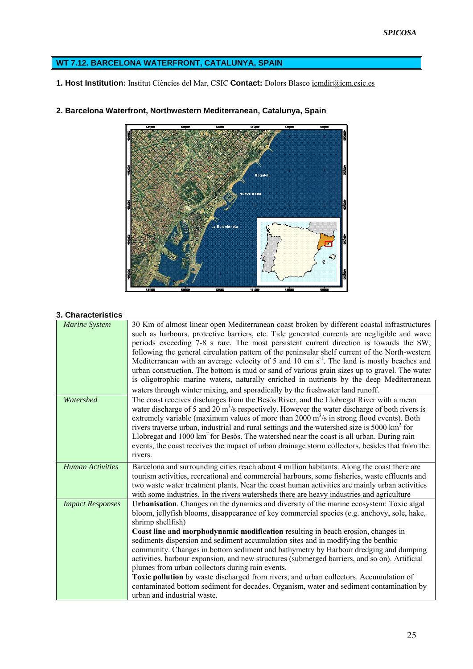# **WT 7.12. BARCELONA WATERFRONT, CATALUNYA, SPAIN**

**1. Host Institution:** Institut Ciències del Mar, CSIC **Contact:** Dolors Blasco [icmdir@icm.csic.es](mailto:icmdir@icm.csic.es)



**2. Barcelona Waterfront, Northwestern Mediterranean, Catalunya, Spain** 

#### **3. Characteristics**

| <b>Marine System</b>    | 30 Km of almost linear open Mediterranean coast broken by different coastal infrastructures               |
|-------------------------|-----------------------------------------------------------------------------------------------------------|
|                         | such as harbours, protective barriers, etc. Tide generated currents are negligible and wave               |
|                         | periods exceeding 7-8 s rare. The most persistent current direction is towards the SW,                    |
|                         | following the general circulation pattern of the peninsular shelf current of the North-western            |
|                         | Mediterranean with an average velocity of 5 and 10 cm $s-1$ . The land is mostly beaches and              |
|                         | urban construction. The bottom is mud or sand of various grain sizes up to gravel. The water              |
|                         | is oligotrophic marine waters, naturally enriched in nutrients by the deep Mediterranean                  |
|                         |                                                                                                           |
|                         | waters through winter mixing, and sporadically by the freshwater land runoff.                             |
| Watershed               | The coast receives discharges from the Besòs River, and the Llobregat River with a mean                   |
|                         | water discharge of 5 and 20 $\text{m}^3$ /s respectively. However the water discharge of both rivers is   |
|                         | extremely variable (maximum values of more than $2000 \text{ m}^3/\text{s}$ in strong flood events). Both |
|                         | rivers traverse urban, industrial and rural settings and the watershed size is 5000 km <sup>2</sup> for   |
|                         | Llobregat and 1000 km <sup>2</sup> for Besòs. The watershed near the coast is all urban. During rain      |
|                         | events, the coast receives the impact of urban drainage storm collectors, besides that from the           |
|                         | rivers.                                                                                                   |
| <b>Human Activities</b> |                                                                                                           |
|                         | Barcelona and surrounding cities reach about 4 million habitants. Along the coast there are               |
|                         | tourism activities, recreational and commercial harbours, some fisheries, waste effluents and             |
|                         | two waste water treatment plants. Near the coast human activities are mainly urban activities             |
|                         | with some industries. In the rivers watersheds there are heavy industries and agriculture                 |
| <b>Impact Responses</b> | Urbanisation. Changes on the dynamics and diversity of the marine ecosystem: Toxic algal                  |
|                         | bloom, jellyfish blooms, disappearance of key commercial species (e.g. anchovy, sole, hake,               |
|                         | shrimp shellfish)                                                                                         |
|                         | Coast line and morphodynamic modification resulting in beach erosion, changes in                          |
|                         | sediments dispersion and sediment accumulation sites and in modifying the benthic                         |
|                         | community. Changes in bottom sediment and bathymetry by Harbour dredging and dumping                      |
|                         | activities, harbour expansion, and new structures (submerged barriers, and so on). Artificial             |
|                         | plumes from urban collectors during rain events.                                                          |
|                         | Toxic pollution by waste discharged from rivers, and urban collectors. Accumulation of                    |
|                         | contaminated bottom sediment for decades. Organism, water and sediment contamination by                   |
|                         | urban and industrial waste.                                                                               |